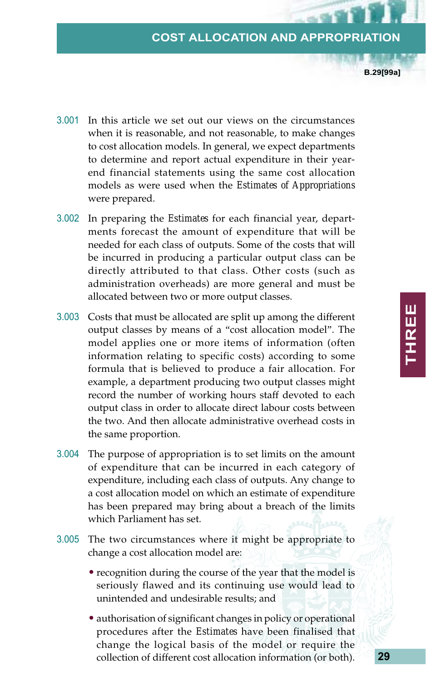## **COST ALLOCATION AND APPROPRIATION**

**B.29[99a]**

- 3.001 In this article we set out our views on the circumstances when it is reasonable, and not reasonable, to make changes to cost allocation models. In general, we expect departments to determine and report actual expenditure in their yearend financial statements using the same cost allocation models as were used when the *Estimates of Appropriations* were prepared.
- 3.002 In preparing the *Estimates* for each financial year, departments forecast the amount of expenditure that will be needed for each class of outputs. Some of the costs that will be incurred in producing a particular output class can be directly attributed to that class. Other costs (such as administration overheads) are more general and must be allocated between two or more output classes.
- 3.003 Costs that must be allocated are split up among the different output classes by means of a "cost allocation model". The model applies one or more items of information (often information relating to specific costs) according to some formula that is believed to produce a fair allocation. For example, a department producing two output classes might record the number of working hours staff devoted to each output class in order to allocate direct labour costs between the two. And then allocate administrative overhead costs in the same proportion.
- 3.004 The purpose of appropriation is to set limits on the amount of expenditure that can be incurred in each category of expenditure, including each class of outputs. Any change to a cost allocation model on which an estimate of expenditure has been prepared may bring about a breach of the limits which Parliament has set.
- 3.005 The two circumstances where it might be appropriate to change a cost allocation model are:
	- recognition during the course of the year that the model is seriously flawed and its continuing use would lead to unintended and undesirable results; and
	- authorisation of significant changes in policy or operational procedures after the *Estimates* have been finalised that change the logical basis of the model or require the collection of different cost allocation information (or both).